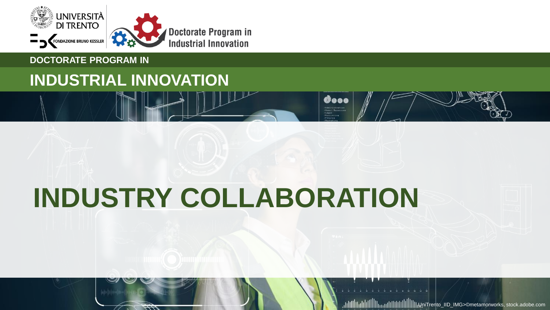

### **DOCTORATE PROGRAM IN**

# **INDUSTRIAL INNOVATION**

# **INDUSTRY COLLABORATION**

Gooo rkaulnistration<br>Almun Nuunurcui<br>Angel

UniTrento\_IID\_IMG>©metamorworks, stock.adobe.com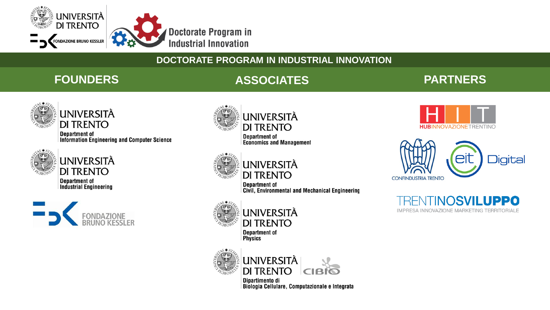

# **FOUNDERS ASSOCIATES PARTNERS**



UNIVERSITÀ **DI TRENTO** 

**Department of** Information Engineering and Computer Science



**UNIVERSITÀ DI TRENTO Department of Industrial Engineering** 





**Department of Economics and Management** 



**UNIVERSITÀ DI TRENTO** 

**Department of** Civil, Environmental and Mechanical Engineering



**UNIVERSITÀ DI TRENTO Department of** 

**Physics** 



Dipartimento di Biologia Cellulare, Computazionale e Integrata





VTINOSVILUPPO  $H$ IMPRESA INNOVAZIONE MARKETING TERRITORIALE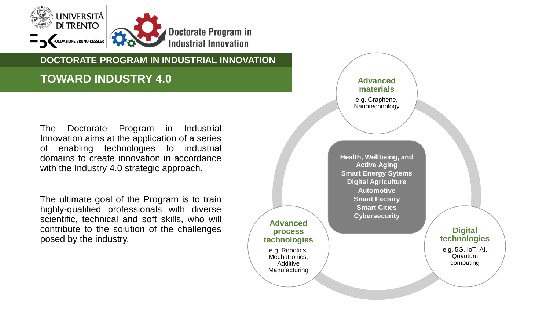

# **TOWARD INDUSTRY 4.0**

The Doctorate Program in Industrial Innovation aims at the application of a series of enabling technologies to industrial domains to create innovation in accordance with the Industry 4.0 strategic approach.

The ultimate goal of the Program is to train highly-qualified professionals with diverse scientific, technical and soft skills, who will contribute to the solution of the challenges posed by the industry.

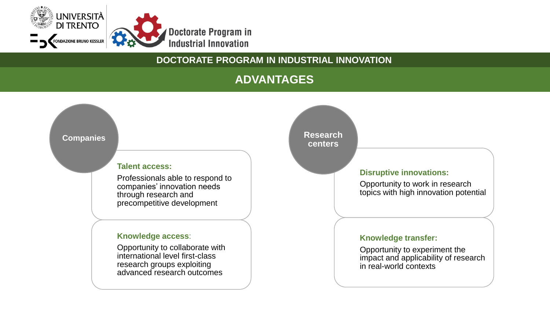

# **ADVANTAGES**

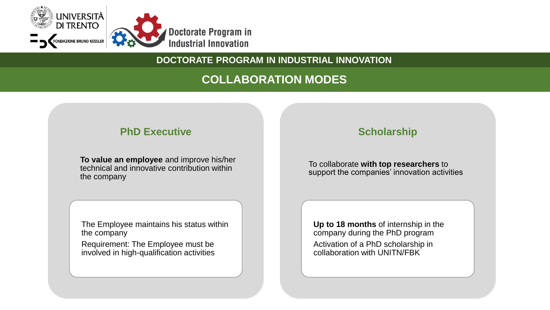

# **COLLABORATION MODES**

### **PhD Executive**

**To value an employee** and improve his/her technical and innovative contribution within the company

The Employee maintains his status within the company

Requirement: The Employee must be involved in high-qualification activities

# **Scholarship**

To collaborate **with top researchers** to support the companies' innovation activities

**Up to 18 months** of internship in the company during the PhD program

Activation of a PhD scholarship in collaboration with UNITN/FBK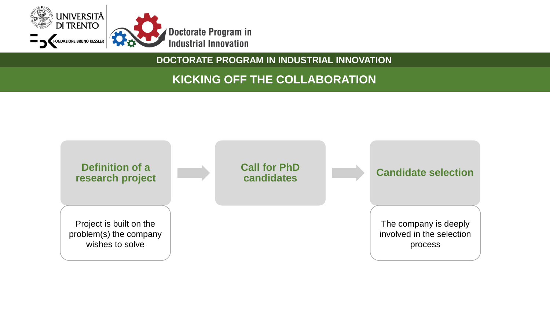

# **KICKING OFF THE COLLABORATION**

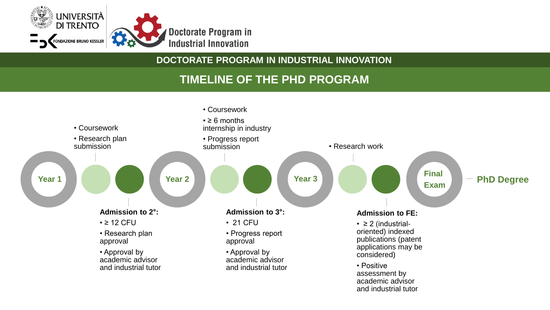

# **TIMELINE OF THE PHD PROGRAM**

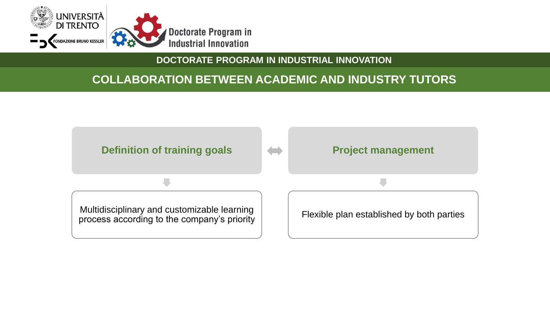

# **COLLABORATION BETWEEN ACADEMIC AND INDUSTRY TUTORS**

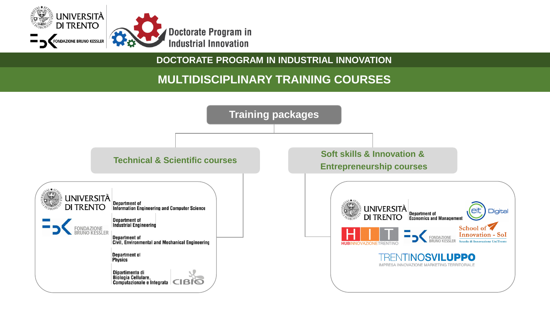

# **MULTIDISCIPLINARY TRAINING COURSES**

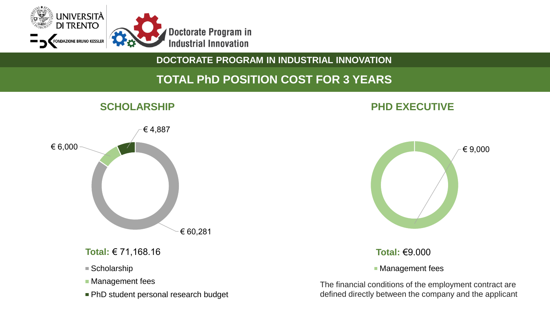

# **TOTAL PhD POSITION COST FOR 3 YEARS**



#### **Total:** € 71,168.16

- Scholarship
- **Management fees**
- PhD student personal research budget

# **SCHOLARSHIP PHD EXECUTIVE**



#### **Total:** €9.000

**Management fees** 

The financial conditions of the employment contract are defined directly between the company and the applicant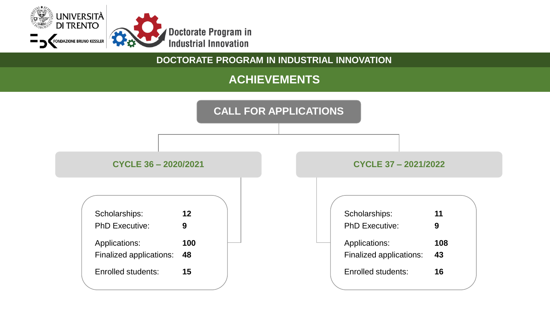

# **ACHIEVEMENTS**

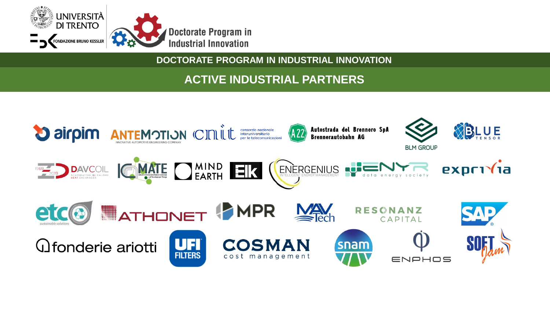

# **ACTIVE INDUSTRIAL PARTNERS**